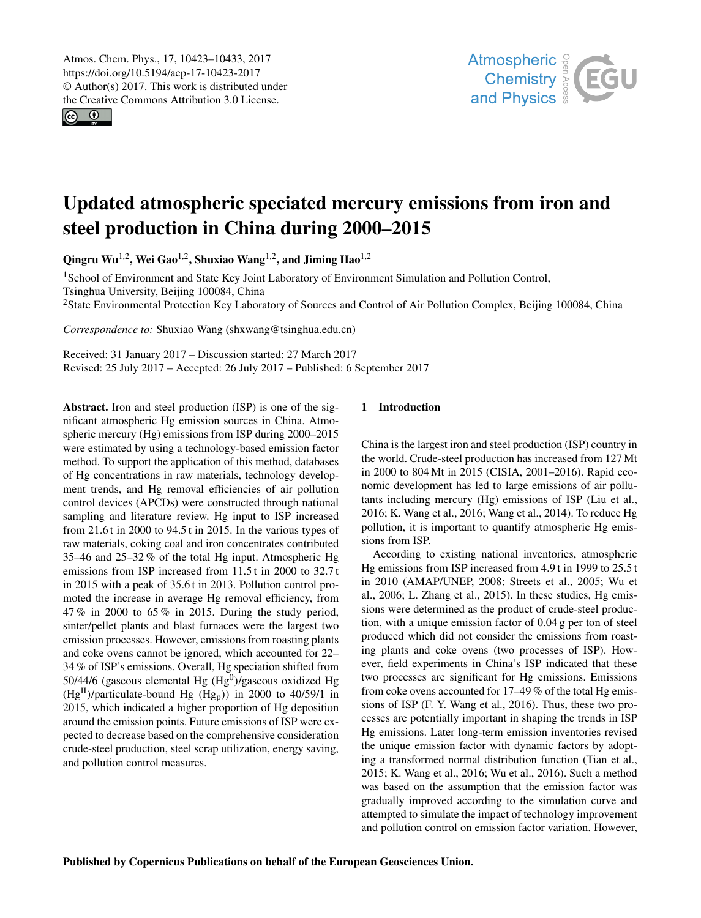<span id="page-0-1"></span> $\circ$   $\circ$ 



# Updated atmospheric speciated mercury emissions from iron and steel production in China during 2000–2015

Qingru Wu<sup>[1,2](#page-0-0)</sup>, Wei Gao<sup>1,2</sup>, Shuxiao Wang<sup>1,2</sup>, and Jiming Hao<sup>1,2</sup>

<sup>1</sup>School of Environment and State Key Joint Laboratory of Environment Simulation and Pollution Control, Tsinghua University, Beijing 100084, China

<sup>2</sup>State Environmental Protection Key Laboratory of Sources and Control of Air Pollution Complex, Beijing 100084, China

*Correspondence to:* Shuxiao Wang (shxwang@tsinghua.edu.cn)

Received: 31 January 2017 – Discussion started: 27 March 2017 Revised: 25 July 2017 – Accepted: 26 July 2017 – Published: 6 September 2017

<span id="page-0-0"></span>Abstract. Iron and steel production (ISP) is one of the significant atmospheric Hg emission sources in China. Atmospheric mercury (Hg) emissions from ISP during 2000–2015 were estimated by using a technology-based emission factor method. To support the application of this method, databases of Hg concentrations in raw materials, technology development trends, and Hg removal efficiencies of air pollution control devices (APCDs) were constructed through national sampling and literature review. Hg input to ISP increased from 21.6 t in 2000 to 94.5 t in 2015. In the various types of raw materials, coking coal and iron concentrates contributed 35–46 and 25–32 % of the total Hg input. Atmospheric Hg emissions from ISP increased from 11.5 t in 2000 to 32.7 t in 2015 with a peak of 35.6 t in 2013. Pollution control promoted the increase in average Hg removal efficiency, from 47 % in 2000 to 65 % in 2015. During the study period, sinter/pellet plants and blast furnaces were the largest two emission processes. However, emissions from roasting plants and coke ovens cannot be ignored, which accounted for 22– 34 % of ISP's emissions. Overall, Hg speciation shifted from 50/44/6 (gaseous elemental Hg  $(Hg^0)$ /gaseous oxidized Hg  $(Hg<sup>H</sup>)/particulate-bound Hg (Hg<sub>p</sub>))$  in 2000 to 40/59/1 in 2015, which indicated a higher proportion of Hg deposition around the emission points. Future emissions of ISP were expected to decrease based on the comprehensive consideration crude-steel production, steel scrap utilization, energy saving, and pollution control measures.

# 1 Introduction

China is the largest iron and steel production (ISP) country in the world. Crude-steel production has increased from 127 Mt in 2000 to 804 Mt in 2015 (CISIA, 2001–2016). Rapid economic development has led to large emissions of air pollutants including mercury (Hg) emissions of ISP (Liu et al., 2016; K. Wang et al., 2016; Wang et al., 2014). To reduce Hg pollution, it is important to quantify atmospheric Hg emissions from ISP.

According to existing national inventories, atmospheric Hg emissions from ISP increased from 4.9 t in 1999 to 25.5 t in 2010 (AMAP/UNEP, 2008; Streets et al., 2005; Wu et al., 2006; L. Zhang et al., 2015). In these studies, Hg emissions were determined as the product of crude-steel production, with a unique emission factor of 0.04 g per ton of steel produced which did not consider the emissions from roasting plants and coke ovens (two processes of ISP). However, field experiments in China's ISP indicated that these two processes are significant for Hg emissions. Emissions from coke ovens accounted for 17–49 % of the total Hg emissions of ISP (F. Y. Wang et al., 2016). Thus, these two processes are potentially important in shaping the trends in ISP Hg emissions. Later long-term emission inventories revised the unique emission factor with dynamic factors by adopting a transformed normal distribution function (Tian et al., 2015; K. Wang et al., 2016; Wu et al., 2016). Such a method was based on the assumption that the emission factor was gradually improved according to the simulation curve and attempted to simulate the impact of technology improvement and pollution control on emission factor variation. However,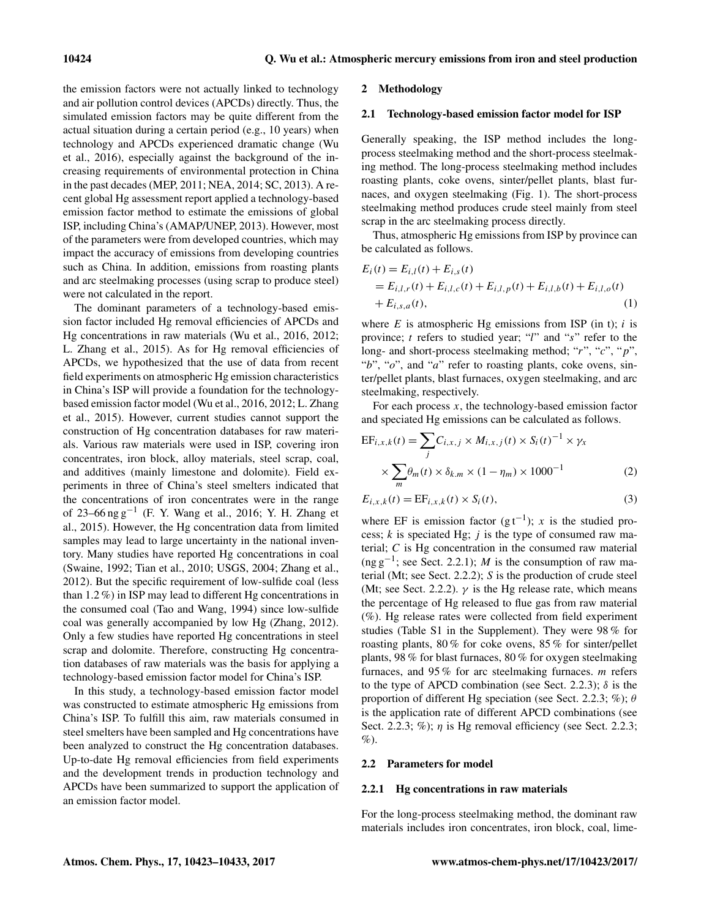the emission factors were not actually linked to technology and air pollution control devices (APCDs) directly. Thus, the simulated emission factors may be quite different from the actual situation during a certain period (e.g., 10 years) when technology and APCDs experienced dramatic change (Wu et al., 2016), especially against the background of the increasing requirements of environmental protection in China in the past decades (MEP, 2011; NEA, 2014; SC, 2013). A recent global Hg assessment report applied a technology-based emission factor method to estimate the emissions of global ISP, including China's (AMAP/UNEP, 2013). However, most of the parameters were from developed countries, which may impact the accuracy of emissions from developing countries such as China. In addition, emissions from roasting plants and arc steelmaking processes (using scrap to produce steel) were not calculated in the report.

The dominant parameters of a technology-based emission factor included Hg removal efficiencies of APCDs and Hg concentrations in raw materials (Wu et al., 2016, 2012; L. Zhang et al., 2015). As for Hg removal efficiencies of APCDs, we hypothesized that the use of data from recent field experiments on atmospheric Hg emission characteristics in China's ISP will provide a foundation for the technologybased emission factor model (Wu et al., 2016, 2012; L. Zhang et al., 2015). However, current studies cannot support the construction of Hg concentration databases for raw materials. Various raw materials were used in ISP, covering iron concentrates, iron block, alloy materials, steel scrap, coal, and additives (mainly limestone and dolomite). Field experiments in three of China's steel smelters indicated that the concentrations of iron concentrates were in the range of 23–66 ng g−<sup>1</sup> (F. Y. Wang et al., 2016; Y. H. Zhang et al., 2015). However, the Hg concentration data from limited samples may lead to large uncertainty in the national inventory. Many studies have reported Hg concentrations in coal (Swaine, 1992; Tian et al., 2010; USGS, 2004; Zhang et al., 2012). But the specific requirement of low-sulfide coal (less than 1.2 %) in ISP may lead to different Hg concentrations in the consumed coal (Tao and Wang, 1994) since low-sulfide coal was generally accompanied by low Hg (Zhang, 2012). Only a few studies have reported Hg concentrations in steel scrap and dolomite. Therefore, constructing Hg concentration databases of raw materials was the basis for applying a technology-based emission factor model for China's ISP.

In this study, a technology-based emission factor model was constructed to estimate atmospheric Hg emissions from China's ISP. To fulfill this aim, raw materials consumed in steel smelters have been sampled and Hg concentrations have been analyzed to construct the Hg concentration databases. Up-to-date Hg removal efficiencies from field experiments and the development trends in production technology and APCDs have been summarized to support the application of an emission factor model.

#### 2 Methodology

## 2.1 Technology-based emission factor model for ISP

Generally speaking, the ISP method includes the longprocess steelmaking method and the short-process steelmaking method. The long-process steelmaking method includes roasting plants, coke ovens, sinter/pellet plants, blast furnaces, and oxygen steelmaking (Fig. 1). The short-process steelmaking method produces crude steel mainly from steel scrap in the arc steelmaking process directly.

Thus, atmospheric Hg emissions from ISP by province can be calculated as follows.

$$
E_i(t) = E_{i,l}(t) + E_{i,s}(t)
$$
  
=  $E_{i,l,r}(t) + E_{i,l,c}(t) + E_{i,l,p}(t) + E_{i,l,b}(t) + E_{i,l,o}(t)$   
+  $E_{i,s,a}(t)$ , (1)

where  $E$  is atmospheric Hg emissions from ISP (in t); i is province;  $t$  refers to studied year; "l" and "s" refer to the long- and short-process steelmaking method; "r", "c", "p", "b", "o", and "a" refer to roasting plants, coke ovens, sinter/pellet plants, blast furnaces, oxygen steelmaking, and arc steelmaking, respectively.

For each process  $x$ , the technology-based emission factor and speciated Hg emissions can be calculated as follows.

$$
EF_{i,x,k}(t) = \sum_{j} C_{i,x,j} \times M_{i,x,j}(t) \times S_i(t)^{-1} \times \gamma_x
$$

$$
\times \sum_{m} \theta_m(t) \times \delta_{k,m} \times (1 - \eta_m) \times 1000^{-1}
$$
(2)

$$
E_{i,x,k}(t) = \text{EF}_{i,x,k}(t) \times S_i(t),
$$
\n(3)

where EF is emission factor  $(gt^{-1})$ ; x is the studied process;  $k$  is speciated Hg;  $j$  is the type of consumed raw material; C is Hg concentration in the consumed raw material (ng  $g^{-1}$ ; see Sect. 2.2.1); M is the consumption of raw material (Mt; see Sect. 2.2.2); S is the production of crude steel (Mt; see Sect. 2.2.2).  $\gamma$  is the Hg release rate, which means the percentage of Hg released to flue gas from raw material (%). Hg release rates were collected from field experiment studies (Table S1 in the Supplement). They were 98 % for roasting plants, 80 % for coke ovens, 85 % for sinter/pellet plants, 98 % for blast furnaces, 80 % for oxygen steelmaking furnaces, and 95 % for arc steelmaking furnaces. m refers to the type of APCD combination (see Sect. 2.2.3);  $\delta$  is the proportion of different Hg speciation (see Sect. 2.2.3; %);  $\theta$ is the application rate of different APCD combinations (see Sect. 2.2.3; %);  $\eta$  is Hg removal efficiency (see Sect. 2.2.3;  $\%$ ).

# 2.2 Parameters for model

#### 2.2.1 Hg concentrations in raw materials

For the long-process steelmaking method, the dominant raw materials includes iron concentrates, iron block, coal, lime-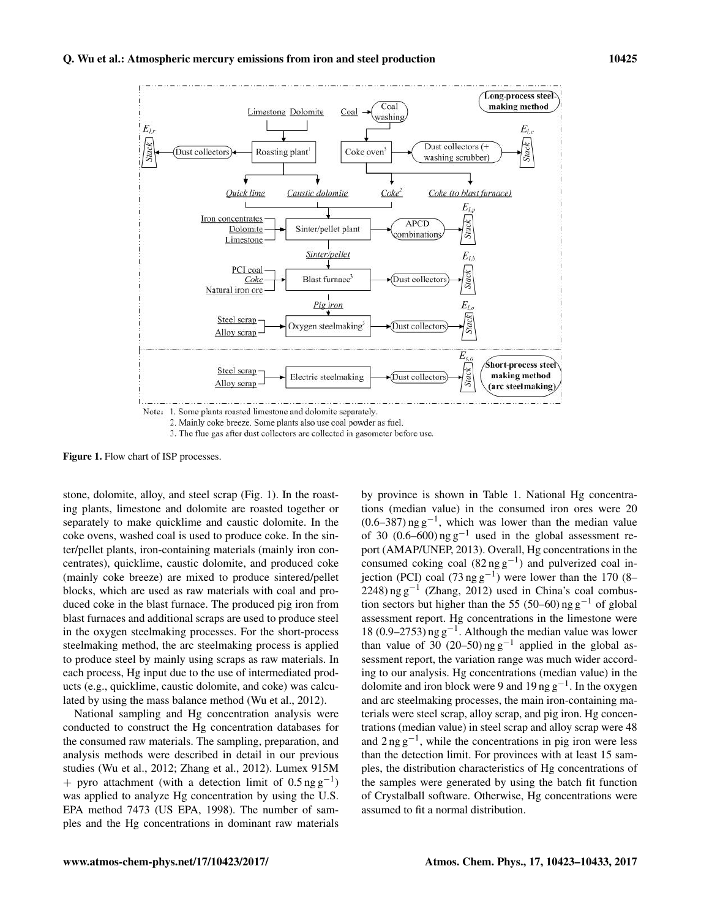

2. Mainly coke breeze. Some plants also use coal powder as fuel.

3. The flue gas after dust collectors are collected in gasometer before use.

Figure 1. Flow chart of ISP processes.

stone, dolomite, alloy, and steel scrap (Fig. 1). In the roasting plants, limestone and dolomite are roasted together or separately to make quicklime and caustic dolomite. In the coke ovens, washed coal is used to produce coke. In the sinter/pellet plants, iron-containing materials (mainly iron concentrates), quicklime, caustic dolomite, and produced coke (mainly coke breeze) are mixed to produce sintered/pellet blocks, which are used as raw materials with coal and produced coke in the blast furnace. The produced pig iron from blast furnaces and additional scraps are used to produce steel in the oxygen steelmaking processes. For the short-process steelmaking method, the arc steelmaking process is applied to produce steel by mainly using scraps as raw materials. In each process, Hg input due to the use of intermediated products (e.g., quicklime, caustic dolomite, and coke) was calculated by using the mass balance method (Wu et al., 2012).

National sampling and Hg concentration analysis were conducted to construct the Hg concentration databases for the consumed raw materials. The sampling, preparation, and analysis methods were described in detail in our previous studies (Wu et al., 2012; Zhang et al., 2012). Lumex 915M + pyro attachment (with a detection limit of  $0.5 \text{ ng g}^{-1}$ ) was applied to analyze Hg concentration by using the U.S. EPA method 7473 (US EPA, 1998). The number of samples and the Hg concentrations in dominant raw materials by province is shown in Table 1. National Hg concentrations (median value) in the consumed iron ores were 20  $(0.6-387)$  ng g<sup>-1</sup>, which was lower than the median value of 30 (0.6–600) ng  $g^{-1}$  used in the global assessment report (AMAP/UNEP, 2013). Overall, Hg concentrations in the consumed coking coal  $(82 \text{ ng g}^{-1})$  and pulverized coal injection (PCI) coal (73 ng  $g^{-1}$ ) were lower than the 170 (8–  $2248$ ) ng g<sup>-1</sup> (Zhang, 2012) used in China's coal combustion sectors but higher than the 55 (50–60) ng  $g^{-1}$  of global assessment report. Hg concentrations in the limestone were 18 (0.9–2753) ng g−<sup>1</sup> . Although the median value was lower than value of 30 (20–50) ng  $g^{-1}$  applied in the global assessment report, the variation range was much wider according to our analysis. Hg concentrations (median value) in the dolomite and iron block were 9 and 19 ng  $g^{-1}$ . In the oxygen and arc steelmaking processes, the main iron-containing materials were steel scrap, alloy scrap, and pig iron. Hg concentrations (median value) in steel scrap and alloy scrap were 48 and 2 ng g−<sup>1</sup> , while the concentrations in pig iron were less than the detection limit. For provinces with at least 15 samples, the distribution characteristics of Hg concentrations of the samples were generated by using the batch fit function of Crystalball software. Otherwise, Hg concentrations were assumed to fit a normal distribution.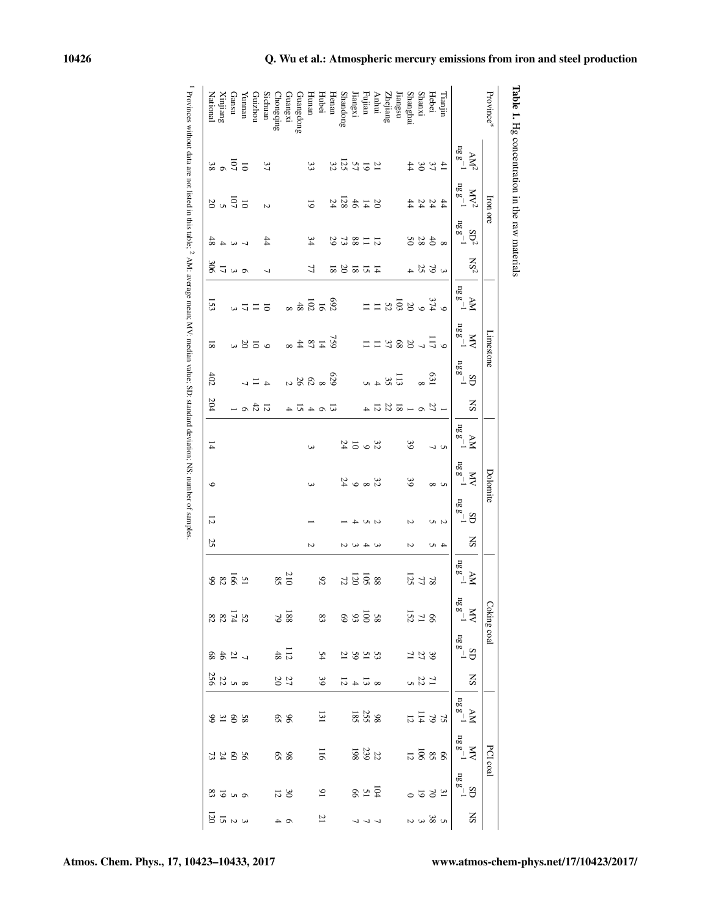| Province*       |                                                     | Iron ore                       |                                         |                 |                                                                                            | Limestone                                                   |                                                                                                                                                                                      |                                           |                                      | Dolomite                         |                 |     |                  | Coking coal    |                 |                                                   |                                        | PCI coal                                       |                                                                                                                                                                     |
|-----------------|-----------------------------------------------------|--------------------------------|-----------------------------------------|-----------------|--------------------------------------------------------------------------------------------|-------------------------------------------------------------|--------------------------------------------------------------------------------------------------------------------------------------------------------------------------------------|-------------------------------------------|--------------------------------------|----------------------------------|-----------------|-----|------------------|----------------|-----------------|---------------------------------------------------|----------------------------------------|------------------------------------------------|---------------------------------------------------------------------------------------------------------------------------------------------------------------------|
|                 | AN <sup>2</sup>                                     | NV <sub>2</sub>                | SD <sup>2</sup>                         | NS <sub>2</sub> |                                                                                            | <b>XIV</b>                                                  |                                                                                                                                                                                      | SN                                        |                                      | <b>XIV</b>                       | GS              | SN  | Ř                | XIV            | SD              | $_{\rm SS}$                                       |                                        | XIV                                            |                                                                                                                                                                     |
|                 | $\begin{array}{c} \cdot \\ \log g^{-1} \end{array}$ | $n_{\rm g}$ ${\rm g}^{-1}$     | $n_g g^{-1}$                            |                 | $\begin{array}{c} \Lambda \mathbf{M} \\ \mathbf{n} \mathbf{g} \mathbf{g}^{-1} \end{array}$ | $nggg^{-1}$                                                 | $\begin{array}{c} \displaystyle \mathop{\mathbf{SD}}_{\mathbf{2}} \\ \displaystyle \mathop{\mathbf{SD}}_{\mathbf{2}} \\ \displaystyle \mathop{\mathbf{SD}}_{\mathbf{2}} \end{array}$ |                                           | $\frac{\text{AM}}{\text{ng g}^{-1}}$ | $n_g g^{-1}$                     | $n g \, g^{-1}$ |     | $n_g g^{-1}$     | $n_g g^{-1}$   | $n g \, g^{-1}$ |                                                   | $\frac{\text{AM}}{\log \text{g}^{-1}}$ | $n_g g^{-1}$                                   | $\begin{array}{c} \displaystyle \sup_{\mathbb{B}^{\mathbb{S}}_{\mathbb{B}}}\mathbb{S}^{-1} \\ \displaystyle \sup_{\mathbb{B}^{\mathbb{S}}_{\mathbb{B}}}\end{array}$ |
| Tianjin         |                                                     |                                |                                         |                 |                                                                                            |                                                             |                                                                                                                                                                                      |                                           |                                      | S                                | N               |     |                  |                |                 |                                                   |                                        |                                                |                                                                                                                                                                     |
| Hebei           | $\frac{4}{5}$ $\frac{0}{5}$ $\frac{0}{4}$           | 47444                          | $\frac{438}{20}$                        | 3504            | $^{32}_{4}$ $^{36}_{8}$ $^{36}_{8}$ $^{11}_{11}$                                           | $-1.588172$                                                 | $\mathfrak{S}$                                                                                                                                                                       | $-20 - 257 - 4$                           | $\frac{1}{2}$                        | $^{\circ}$                       |                 | 4 N |                  |                |                 |                                                   | $55\frac{1}{4}$                        | $888\overline{8}$                              | 25500                                                                                                                                                               |
| <b>Shanxi</b>   |                                                     |                                |                                         |                 |                                                                                            |                                                             |                                                                                                                                                                                      |                                           |                                      |                                  |                 |     |                  |                |                 |                                                   |                                        |                                                |                                                                                                                                                                     |
| Shanghai        |                                                     |                                |                                         |                 |                                                                                            |                                                             |                                                                                                                                                                                      |                                           | $\mathcal{S}$                        | 39                               | M               | N   | <b>725</b>       | $\frac{8}{12}$ | 321             | $\frac{11}{23}$                                   |                                        |                                                |                                                                                                                                                                     |
| iangsu          |                                                     |                                |                                         |                 |                                                                                            |                                                             |                                                                                                                                                                                      |                                           |                                      |                                  |                 |     |                  |                |                 |                                                   |                                        |                                                |                                                                                                                                                                     |
| <b>Zhejiang</b> |                                                     |                                |                                         |                 |                                                                                            |                                                             | $\begin{array}{c}\n\Box \omega \\ \Box \omega \omega\n\end{array}$                                                                                                                   |                                           |                                      |                                  |                 |     |                  | အ စေအခ်အ       |                 |                                                   |                                        |                                                |                                                                                                                                                                     |
| Anhui           |                                                     |                                |                                         |                 |                                                                                            |                                                             |                                                                                                                                                                                      |                                           |                                      |                                  |                 |     |                  |                |                 |                                                   |                                        |                                                |                                                                                                                                                                     |
| Fujian          |                                                     |                                |                                         |                 |                                                                                            |                                                             |                                                                                                                                                                                      |                                           |                                      |                                  |                 |     |                  |                |                 |                                                   |                                        |                                                |                                                                                                                                                                     |
| iangxi          |                                                     |                                |                                         |                 |                                                                                            |                                                             |                                                                                                                                                                                      |                                           | 2500                                 | $35$ $\infty$ $\infty$ $\approx$ |                 | こくし | ននិទី ដ          |                | $3292$          | $\propto \overline{\omega}$ 4 $\overline{\omega}$ | <b>985</b><br>255                      | $\begin{array}{c} 22 \\ 29 \\ 198 \end{array}$ | 8.75                                                                                                                                                                |
| handong         | 13.28                                               | 374884                         | 712853                                  | 17.58           |                                                                                            |                                                             |                                                                                                                                                                                      |                                           |                                      |                                  |                 |     |                  |                |                 |                                                   |                                        |                                                |                                                                                                                                                                     |
| Ienan           |                                                     |                                |                                         |                 |                                                                                            |                                                             |                                                                                                                                                                                      |                                           |                                      |                                  |                 |     |                  |                | 54              | 39                                                |                                        |                                                |                                                                                                                                                                     |
| <b>Iubei</b>    |                                                     |                                |                                         |                 |                                                                                            |                                                             |                                                                                                                                                                                      |                                           |                                      |                                  |                 |     | 92               |                |                 |                                                   | $\overline{31}$                        | 116                                            | $\mathfrak{g}$                                                                                                                                                      |
| uran            | 33                                                  | $\overline{6}$                 | 34                                      | 77              |                                                                                            |                                                             |                                                                                                                                                                                      |                                           | $\omega$                             | ω                                |                 | N   |                  |                |                 |                                                   |                                        |                                                |                                                                                                                                                                     |
| Juangdong       |                                                     |                                |                                         |                 | $\frac{8}{25}$ $\frac{1}{25}$ $\frac{4}{8}$ $\approx$                                      | $\frac{15}{2}$ $\frac{12}{4}$ $\frac{24}{4}$ $\frac{44}{8}$ | $\frac{\mathbb{S}}{\mathbb{S}}$ $\frac{\mathbb{S}}{\mathbb{S}}$ $\frac{\mathbb{S}}{\mathbb{S}}$ $\frac{\mathbb{S}}{\mathbb{S}}$                                                      | $\overline{w}$ $\circ$ 4 $\overline{w}$ 4 |                                      |                                  |                 |     |                  |                |                 |                                                   |                                        |                                                |                                                                                                                                                                     |
| hangxi          |                                                     |                                |                                         |                 |                                                                                            |                                                             |                                                                                                                                                                                      |                                           |                                      |                                  |                 |     | $\frac{210}{85}$ | $\frac{8}{2}$  | $\frac{11}{48}$ | $27\,$ $20\,$                                     | 96                                     | 98                                             | $30\,$                                                                                                                                                              |
| hongqing        |                                                     |                                |                                         |                 |                                                                                            |                                                             |                                                                                                                                                                                      |                                           |                                      |                                  |                 |     |                  |                |                 |                                                   |                                        |                                                |                                                                                                                                                                     |
| ichuan          | 37                                                  | $\overline{a}$                 | $^{44}$                                 | $\overline{ }$  |                                                                                            |                                                             |                                                                                                                                                                                      |                                           |                                      |                                  |                 |     |                  |                |                 |                                                   |                                        |                                                |                                                                                                                                                                     |
| norizhou        |                                                     |                                |                                         |                 | $-772$                                                                                     | $\frac{55}{20}$                                             |                                                                                                                                                                                      | $\overline{536}$ -                        |                                      |                                  |                 |     |                  |                |                 |                                                   |                                        |                                                |                                                                                                                                                                     |
| (unnan          |                                                     |                                |                                         |                 |                                                                                            |                                                             |                                                                                                                                                                                      |                                           |                                      |                                  |                 |     |                  |                |                 |                                                   |                                        |                                                |                                                                                                                                                                     |
| nsuer           | $\frac{2}{3}$ $\frac{3}{3}$                         | $5\overline{c}$ $\overline{c}$ | $\frac{4}{4}$ $\approx$ 4 $\frac{4}{8}$ | 87400           |                                                                                            |                                                             |                                                                                                                                                                                      |                                           |                                      |                                  |                 |     | 28852            | 27488          | $-2488$         | 8<br>28<br>28                                     | 88248                                  | 2288                                           | 222                                                                                                                                                                 |
| Xinjiang        |                                                     |                                |                                         |                 |                                                                                            |                                                             |                                                                                                                                                                                      |                                           |                                      |                                  |                 |     |                  |                |                 |                                                   |                                        |                                                |                                                                                                                                                                     |
|                 |                                                     |                                |                                         |                 | 133                                                                                        | ವ                                                           | 402                                                                                                                                                                                  | 204                                       | $\overline{4}$                       | $\circ$                          | 12              | 25  |                  |                |                 |                                                   |                                        |                                                |                                                                                                                                                                     |

Provinces without data are not listed in this table;  $\sim$ AM: average mean; MV: median value; SD: standard deviation; NS: number of samples.

–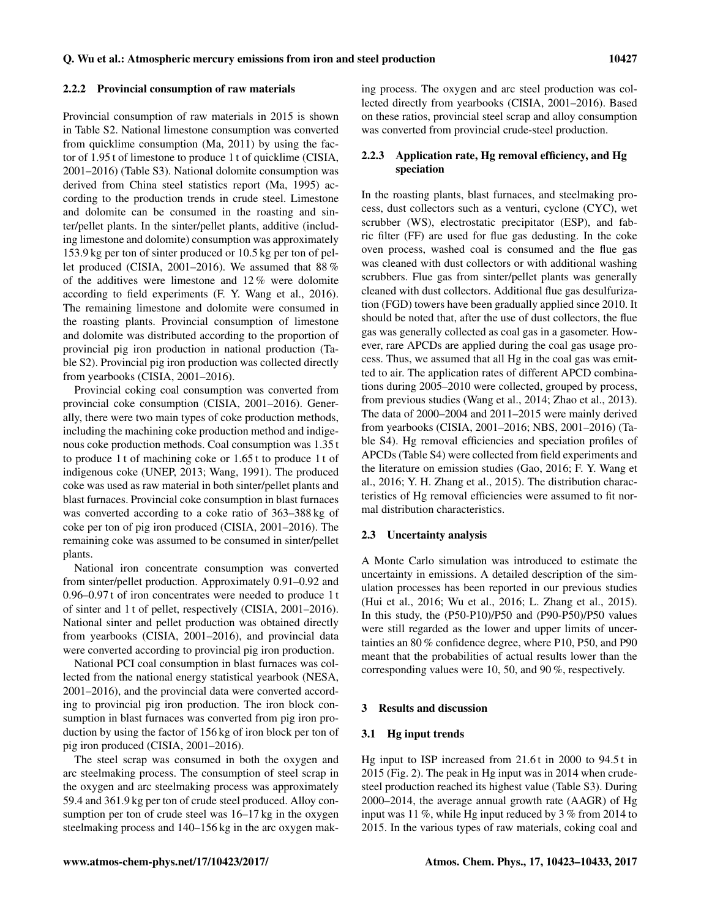Provincial consumption of raw materials in 2015 is shown in Table S2. National limestone consumption was converted from quicklime consumption (Ma, 2011) by using the factor of 1.95 t of limestone to produce 1 t of quicklime (CISIA, 2001–2016) (Table S3). National dolomite consumption was derived from China steel statistics report (Ma, 1995) according to the production trends in crude steel. Limestone and dolomite can be consumed in the roasting and sinter/pellet plants. In the sinter/pellet plants, additive (including limestone and dolomite) consumption was approximately 153.9 kg per ton of sinter produced or 10.5 kg per ton of pellet produced (CISIA, 2001–2016). We assumed that 88 % of the additives were limestone and 12 % were dolomite according to field experiments (F. Y. Wang et al., 2016). The remaining limestone and dolomite were consumed in the roasting plants. Provincial consumption of limestone and dolomite was distributed according to the proportion of provincial pig iron production in national production (Table S2). Provincial pig iron production was collected directly from yearbooks (CISIA, 2001–2016).

Provincial coking coal consumption was converted from provincial coke consumption (CISIA, 2001–2016). Generally, there were two main types of coke production methods, including the machining coke production method and indigenous coke production methods. Coal consumption was 1.35 t to produce 1 t of machining coke or 1.65 t to produce 1 t of indigenous coke (UNEP, 2013; Wang, 1991). The produced coke was used as raw material in both sinter/pellet plants and blast furnaces. Provincial coke consumption in blast furnaces was converted according to a coke ratio of 363–388 kg of coke per ton of pig iron produced (CISIA, 2001–2016). The remaining coke was assumed to be consumed in sinter/pellet plants.

National iron concentrate consumption was converted from sinter/pellet production. Approximately 0.91–0.92 and 0.96–0.97 t of iron concentrates were needed to produce 1 t of sinter and 1 t of pellet, respectively (CISIA, 2001–2016). National sinter and pellet production was obtained directly from yearbooks (CISIA, 2001–2016), and provincial data were converted according to provincial pig iron production.

National PCI coal consumption in blast furnaces was collected from the national energy statistical yearbook (NESA, 2001–2016), and the provincial data were converted according to provincial pig iron production. The iron block consumption in blast furnaces was converted from pig iron production by using the factor of 156 kg of iron block per ton of pig iron produced (CISIA, 2001–2016).

The steel scrap was consumed in both the oxygen and arc steelmaking process. The consumption of steel scrap in the oxygen and arc steelmaking process was approximately 59.4 and 361.9 kg per ton of crude steel produced. Alloy consumption per ton of crude steel was 16–17 kg in the oxygen steelmaking process and 140–156 kg in the arc oxygen making process. The oxygen and arc steel production was collected directly from yearbooks (CISIA, 2001–2016). Based on these ratios, provincial steel scrap and alloy consumption was converted from provincial crude-steel production.

# 2.2.3 Application rate, Hg removal efficiency, and Hg speciation

In the roasting plants, blast furnaces, and steelmaking process, dust collectors such as a venturi, cyclone (CYC), wet scrubber (WS), electrostatic precipitator (ESP), and fabric filter (FF) are used for flue gas dedusting. In the coke oven process, washed coal is consumed and the flue gas was cleaned with dust collectors or with additional washing scrubbers. Flue gas from sinter/pellet plants was generally cleaned with dust collectors. Additional flue gas desulfurization (FGD) towers have been gradually applied since 2010. It should be noted that, after the use of dust collectors, the flue gas was generally collected as coal gas in a gasometer. However, rare APCDs are applied during the coal gas usage process. Thus, we assumed that all Hg in the coal gas was emitted to air. The application rates of different APCD combinations during 2005–2010 were collected, grouped by process, from previous studies (Wang et al., 2014; Zhao et al., 2013). The data of 2000–2004 and 2011–2015 were mainly derived from yearbooks (CISIA, 2001–2016; NBS, 2001–2016) (Table S4). Hg removal efficiencies and speciation profiles of APCDs (Table S4) were collected from field experiments and the literature on emission studies (Gao, 2016; F. Y. Wang et al., 2016; Y. H. Zhang et al., 2015). The distribution characteristics of Hg removal efficiencies were assumed to fit normal distribution characteristics.

#### 2.3 Uncertainty analysis

A Monte Carlo simulation was introduced to estimate the uncertainty in emissions. A detailed description of the simulation processes has been reported in our previous studies (Hui et al., 2016; Wu et al., 2016; L. Zhang et al., 2015). In this study, the (P50-P10)/P50 and (P90-P50)/P50 values were still regarded as the lower and upper limits of uncertainties an 80 % confidence degree, where P10, P50, and P90 meant that the probabilities of actual results lower than the corresponding values were 10, 50, and 90 %, respectively.

## 3 Results and discussion

## 3.1 Hg input trends

Hg input to ISP increased from 21.6 t in 2000 to 94.5 t in 2015 (Fig. 2). The peak in Hg input was in 2014 when crudesteel production reached its highest value (Table S3). During 2000–2014, the average annual growth rate (AAGR) of Hg input was 11 %, while Hg input reduced by 3 % from 2014 to 2015. In the various types of raw materials, coking coal and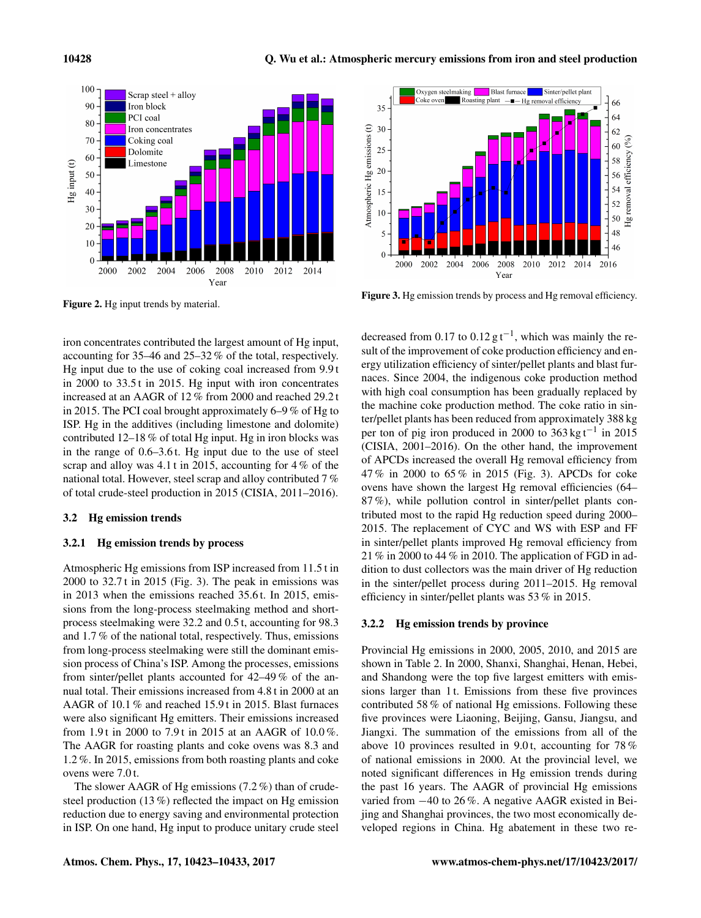

Figure 2. Hg input trends by material.

iron concentrates contributed the largest amount of Hg input, accounting for 35–46 and 25–32 % of the total, respectively. Hg input due to the use of coking coal increased from 9.9 t in 2000 to 33.5 t in 2015. Hg input with iron concentrates increased at an AAGR of 12 % from 2000 and reached 29.2 t in 2015. The PCI coal brought approximately 6–9 % of Hg to ISP. Hg in the additives (including limestone and dolomite) contributed 12–18 % of total Hg input. Hg in iron blocks was in the range of 0.6–3.6 t. Hg input due to the use of steel scrap and alloy was 4.1 t in 2015, accounting for 4 % of the national total. However, steel scrap and alloy contributed 7 % of total crude-steel production in 2015 (CISIA, 2011–2016).

#### 3.2 Hg emission trends

## 3.2.1 Hg emission trends by process

Atmospheric Hg emissions from ISP increased from 11.5 t in 2000 to 32.7 t in 2015 (Fig. 3). The peak in emissions was in 2013 when the emissions reached 35.6 t. In 2015, emissions from the long-process steelmaking method and shortprocess steelmaking were 32.2 and 0.5 t, accounting for 98.3 and 1.7 % of the national total, respectively. Thus, emissions from long-process steelmaking were still the dominant emission process of China's ISP. Among the processes, emissions from sinter/pellet plants accounted for 42–49 % of the annual total. Their emissions increased from 4.8 t in 2000 at an AAGR of 10.1 % and reached 15.9 t in 2015. Blast furnaces were also significant Hg emitters. Their emissions increased from 1.9 t in 2000 to 7.9 t in 2015 at an AAGR of 10.0 %. The AAGR for roasting plants and coke ovens was 8.3 and 1.2 %. In 2015, emissions from both roasting plants and coke ovens were 7.0 t.

The slower AAGR of Hg emissions (7.2 %) than of crudesteel production (13 %) reflected the impact on Hg emission reduction due to energy saving and environmental protection in ISP. On one hand, Hg input to produce unitary crude steel



Figure 3. Hg emission trends by process and Hg removal efficiency.

decreased from 0.17 to  $0.12 \text{ g t}^{-1}$ , which was mainly the result of the improvement of coke production efficiency and energy utilization efficiency of sinter/pellet plants and blast furnaces. Since 2004, the indigenous coke production method with high coal consumption has been gradually replaced by the machine coke production method. The coke ratio in sinter/pellet plants has been reduced from approximately 388 kg per ton of pig iron produced in 2000 to 363 kg t−<sup>1</sup> in 2015 (CISIA, 2001–2016). On the other hand, the improvement of APCDs increased the overall Hg removal efficiency from 47 % in 2000 to 65 % in 2015 (Fig. 3). APCDs for coke ovens have shown the largest Hg removal efficiencies (64– 87 %), while pollution control in sinter/pellet plants contributed most to the rapid Hg reduction speed during 2000– 2015. The replacement of CYC and WS with ESP and FF in sinter/pellet plants improved Hg removal efficiency from 21 % in 2000 to 44 % in 2010. The application of FGD in addition to dust collectors was the main driver of Hg reduction in the sinter/pellet process during 2011–2015. Hg removal efficiency in sinter/pellet plants was 53 % in 2015.

#### 3.2.2 Hg emission trends by province

Provincial Hg emissions in 2000, 2005, 2010, and 2015 are shown in Table 2. In 2000, Shanxi, Shanghai, Henan, Hebei, and Shandong were the top five largest emitters with emissions larger than 1 t. Emissions from these five provinces contributed 58 % of national Hg emissions. Following these five provinces were Liaoning, Beijing, Gansu, Jiangsu, and Jiangxi. The summation of the emissions from all of the above 10 provinces resulted in 9.0 t, accounting for 78 % of national emissions in 2000. At the provincial level, we noted significant differences in Hg emission trends during the past 16 years. The AAGR of provincial Hg emissions varied from −40 to 26 %. A negative AAGR existed in Beijing and Shanghai provinces, the two most economically developed regions in China. Hg abatement in these two re-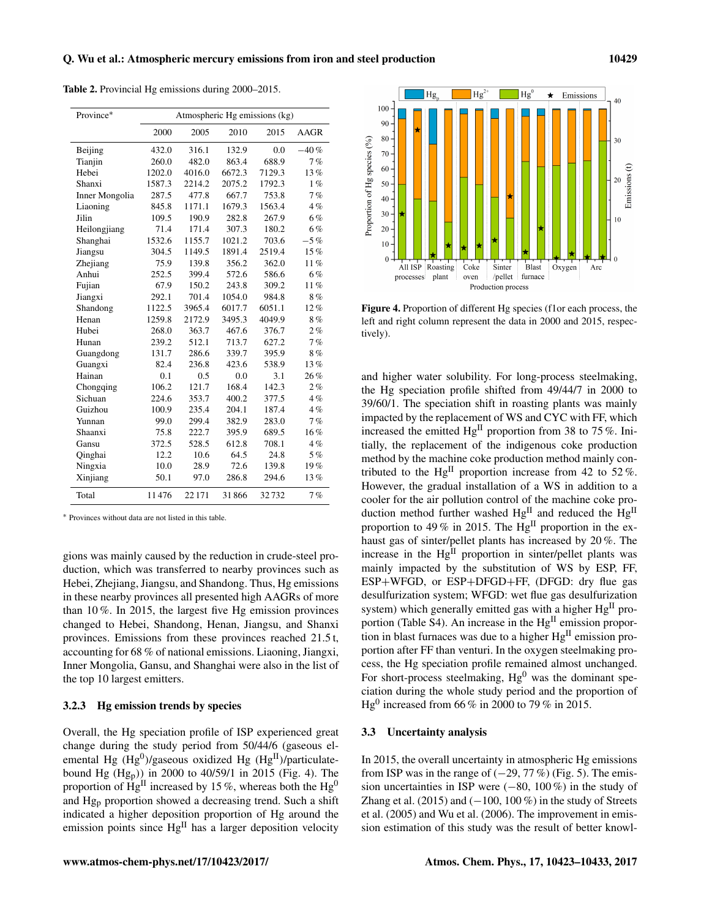<sup>∗</sup> Provinces without data are not listed in this table.

gions was mainly caused by the reduction in crude-steel production, which was transferred to nearby provinces such as Hebei, Zhejiang, Jiangsu, and Shandong. Thus, Hg emissions in these nearby provinces all presented high AAGRs of more than 10 %. In 2015, the largest five Hg emission provinces changed to Hebei, Shandong, Henan, Jiangsu, and Shanxi provinces. Emissions from these provinces reached 21.5 t, accounting for 68 % of national emissions. Liaoning, Jiangxi, Inner Mongolia, Gansu, and Shanghai were also in the list of the top 10 largest emitters.

## 3.2.3 Hg emission trends by species

Overall, the Hg speciation profile of ISP experienced great change during the study period from 50/44/6 (gaseous elemental Hg  $(Hg^0)/g$ aseous oxidized Hg  $(Hg^H)/p$ articulatebound Hg (Hgp)) in 2000 to 40/59/1 in 2015 (Fig. 4). The proportion of  $\hat{H}g^{\text{II}}$  increased by 15%, whereas both the  $Hg^0$ and Hg<sup>p</sup> proportion showed a decreasing trend. Such a shift indicated a higher deposition proportion of Hg around the emission points since  $Hg^{II}$  has a larger deposition velocity and higher water solubility. For long-process steelmaking, the Hg speciation profile shifted from 49/44/7 in 2000 to 39/60/1. The speciation shift in roasting plants was mainly impacted by the replacement of WS and CYC with FF, which increased the emitted  $Hg<sup>H</sup>$  proportion from 38 to 75%. Initially, the replacement of the indigenous coke production method by the machine coke production method mainly contributed to the Hg<sup>II</sup> proportion increase from 42 to 52%. However, the gradual installation of a WS in addition to a cooler for the air pollution control of the machine coke production method further washed Hg<sup>II</sup> and reduced the Hg<sup>II</sup> proportion to 49 % in 2015. The  $Hg<sup>H</sup>$  proportion in the exhaust gas of sinter/pellet plants has increased by 20 %. The increase in the Hg<sup>II</sup> proportion in sinter/pellet plants was mainly impacted by the substitution of WS by ESP, FF, ESP+WFGD, or ESP+DFGD+FF, (DFGD: dry flue gas desulfurization system; WFGD: wet flue gas desulfurization system) which generally emitted gas with a higher  $Hg<sup>H</sup>$  proportion (Table S4). An increase in the Hg<sup>II</sup> emission proportion in blast furnaces was due to a higher  $Hg<sup>H</sup>$  emission proportion after FF than venturi. In the oxygen steelmaking process, the Hg speciation profile remained almost unchanged. For short-process steelmaking,  $Hg^0$  was the dominant speciation during the whole study period and the proportion of Hg<sup>0</sup> increased from 66 % in 2000 to 79 % in 2015.

## 3.3 Uncertainty analysis

tively).

In 2015, the overall uncertainty in atmospheric Hg emissions from ISP was in the range of  $(-29, 77\%)$  (Fig. 5). The emission uncertainties in ISP were (−80, 100 %) in the study of Zhang et al. (2015) and  $(-100, 100\%)$  in the study of Streets et al. (2005) and Wu et al. (2006). The improvement in emission estimation of this study was the result of better knowl-

| Province*      |        | Atmospheric Hg emissions (kg) |        |        |        |
|----------------|--------|-------------------------------|--------|--------|--------|
|                | 2000   | 2005                          | 2010   | 2015   | AAGR   |
| Beijing        | 432.0  | 316.1                         | 132.9  | 0.0    | $-40%$ |
| Tianjin        | 260.0  | 482.0                         | 863.4  | 688.9  | 7%     |
| Hebei          | 1202.0 | 4016.0                        | 6672.3 | 7129.3 | 13%    |
| Shanxi         | 1587.3 | 2214.2                        | 2075.2 | 1792.3 | $1\%$  |
| Inner Mongolia | 287.5  | 477.8                         | 667.7  | 753.8  | 7%     |
| Liaoning       | 845.8  | 1171.1                        | 1679.3 | 1563.4 | 4%     |
| Jilin          | 109.5  | 190.9                         | 282.8  | 267.9  | 6%     |
| Heilongjiang   | 71.4   | 171.4                         | 307.3  | 180.2  | 6%     |
| Shanghai       | 1532.6 | 1155.7                        | 1021.2 | 703.6  | $-5\%$ |
| Jiangsu        | 304.5  | 1149.5                        | 1891.4 | 2519.4 | 15%    |
| Zhejiang       | 75.9   | 139.8                         | 356.2  | 362.0  | 11%    |
| Anhui          | 252.5  | 399.4                         | 572.6  | 586.6  | 6%     |
| Fujian         | 67.9   | 150.2                         | 243.8  | 309.2  | $11\%$ |
| Jiangxi        | 292.1  | 701.4                         | 1054.0 | 984.8  | 8%     |
| Shandong       | 1122.5 | 3965.4                        | 6017.7 | 6051.1 | $12\%$ |
| Henan          | 1259.8 | 2172.9                        | 3495.3 | 4049.9 | 8%     |
| Hubei          | 268.0  | 363.7                         | 467.6  | 376.7  | 2%     |
| Hunan          | 239.2  | 512.1                         | 713.7  | 627.2  | 7%     |
| Guangdong      | 131.7  | 286.6                         | 339.7  | 395.9  | 8%     |
| Guangxi        | 82.4   | 236.8                         | 423.6  | 538.9  | 13%    |
| Hainan         | 0.1    | 0.5                           | 0.0    | 3.1    | 26%    |
| Chongqing      | 106.2  | 121.7                         | 168.4  | 142.3  | 2%     |
| Sichuan        | 224.6  | 353.7                         | 400.2  | 377.5  | 4%     |
| Guizhou        | 100.9  | 235.4                         | 204.1  | 187.4  | 4%     |
| Yunnan         | 99.0   | 299.4                         | 382.9  | 283.0  | 7%     |
| Shaanxi        | 75.8   | 222.7                         | 395.9  | 689.5  | 16%    |
| Gansu          | 372.5  | 528.5                         | 612.8  | 708.1  | 4%     |
| Qinghai        | 12.2   | 10.6                          | 64.5   | 24.8   | 5%     |
| Ningxia        | 10.0   | 28.9                          | 72.6   | 139.8  | 19%    |
| Xinjiang       | 50.1   | 97.0                          | 286.8  | 294.6  | 13%    |
| Total          | 11476  | 22 17 1                       | 31866  | 32732  | 7%     |

Table 2. Provincial Hg emissions during 2000–2015.



Figure 4. Proportion of different Hg species (f1or each process, the left and right column represent the data in 2000 and 2015, respec-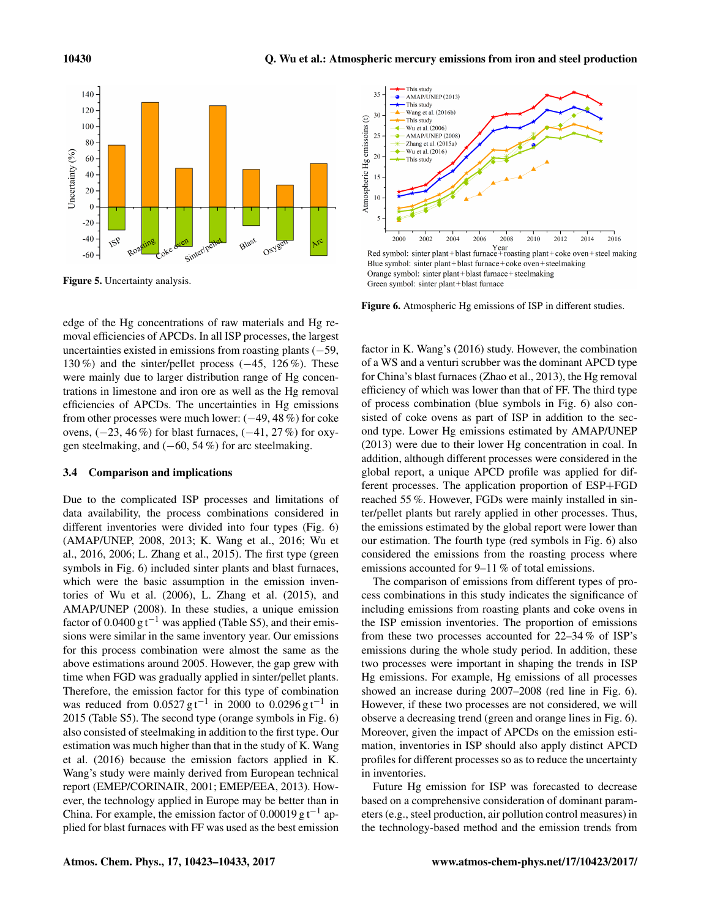

Figure 5. Uncertainty analysis.

edge of the Hg concentrations of raw materials and Hg removal efficiencies of APCDs. In all ISP processes, the largest uncertainties existed in emissions from roasting plants  $(-59,$ 130 %) and the sinter/pellet process (−45, 126 %). These were mainly due to larger distribution range of Hg concentrations in limestone and iron ore as well as the Hg removal efficiencies of APCDs. The uncertainties in Hg emissions from other processes were much lower: (−49, 48 %) for coke ovens,  $(-23, 46\%)$  for blast furnaces,  $(-41, 27\%)$  for oxygen steelmaking, and  $(-60, 54\%)$  for arc steelmaking.

# 3.4 Comparison and implications

Due to the complicated ISP processes and limitations of data availability, the process combinations considered in different inventories were divided into four types (Fig. 6) (AMAP/UNEP, 2008, 2013; K. Wang et al., 2016; Wu et al., 2016, 2006; L. Zhang et al., 2015). The first type (green symbols in Fig. 6) included sinter plants and blast furnaces, which were the basic assumption in the emission inventories of Wu et al. (2006), L. Zhang et al. (2015), and AMAP/UNEP (2008). In these studies, a unique emission factor of 0.0400 g t<sup>-1</sup> was applied (Table S5), and their emissions were similar in the same inventory year. Our emissions for this process combination were almost the same as the above estimations around 2005. However, the gap grew with time when FGD was gradually applied in sinter/pellet plants. Therefore, the emission factor for this type of combination was reduced from  $0.0527 \text{ g t}^{-1}$  in 2000 to  $0.0296 \text{ g t}^{-1}$  in 2015 (Table S5). The second type (orange symbols in Fig. 6) also consisted of steelmaking in addition to the first type. Our estimation was much higher than that in the study of K. Wang et al. (2016) because the emission factors applied in K. Wang's study were mainly derived from European technical report (EMEP/CORINAIR, 2001; EMEP/EEA, 2013). However, the technology applied in Europe may be better than in China. For example, the emission factor of  $0.00019$  g t<sup>-1</sup> applied for blast furnaces with FF was used as the best emission



Blue symbol: sinter plant+blast furnace+coke oven+steelmaking Orange symbol: sinter plant+blast furnace+steelmaking Green symbol: sinter plant+blast furnace

Figure 6. Atmospheric Hg emissions of ISP in different studies.

factor in K. Wang's (2016) study. However, the combination of a WS and a venturi scrubber was the dominant APCD type for China's blast furnaces (Zhao et al., 2013), the Hg removal efficiency of which was lower than that of FF. The third type of process combination (blue symbols in Fig. 6) also consisted of coke ovens as part of ISP in addition to the second type. Lower Hg emissions estimated by AMAP/UNEP (2013) were due to their lower Hg concentration in coal. In addition, although different processes were considered in the global report, a unique APCD profile was applied for different processes. The application proportion of ESP+FGD reached 55 %. However, FGDs were mainly installed in sinter/pellet plants but rarely applied in other processes. Thus, the emissions estimated by the global report were lower than our estimation. The fourth type (red symbols in Fig. 6) also considered the emissions from the roasting process where emissions accounted for 9–11 % of total emissions.

The comparison of emissions from different types of process combinations in this study indicates the significance of including emissions from roasting plants and coke ovens in the ISP emission inventories. The proportion of emissions from these two processes accounted for 22–34 % of ISP's emissions during the whole study period. In addition, these two processes were important in shaping the trends in ISP Hg emissions. For example, Hg emissions of all processes showed an increase during 2007–2008 (red line in Fig. 6). However, if these two processes are not considered, we will observe a decreasing trend (green and orange lines in Fig. 6). Moreover, given the impact of APCDs on the emission estimation, inventories in ISP should also apply distinct APCD profiles for different processes so as to reduce the uncertainty in inventories.

Future Hg emission for ISP was forecasted to decrease based on a comprehensive consideration of dominant parameters (e.g., steel production, air pollution control measures) in the technology-based method and the emission trends from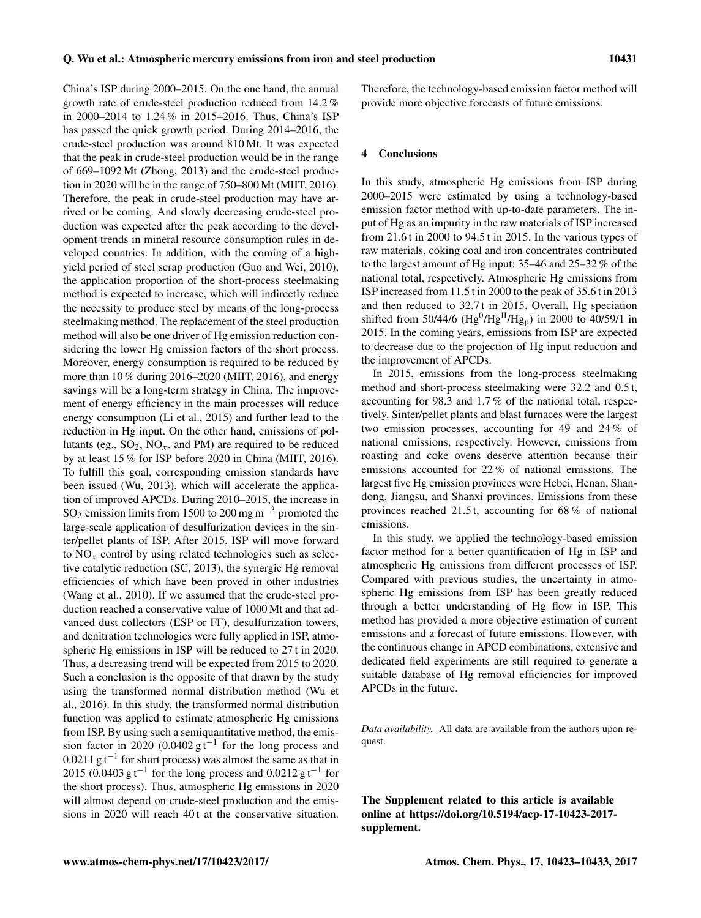China's ISP during 2000–2015. On the one hand, the annual growth rate of crude-steel production reduced from 14.2 % in 2000–2014 to 1.24 % in 2015–2016. Thus, China's ISP has passed the quick growth period. During 2014–2016, the crude-steel production was around 810 Mt. It was expected that the peak in crude-steel production would be in the range of 669–1092 Mt (Zhong, 2013) and the crude-steel production in 2020 will be in the range of 750–800 Mt (MIIT, 2016). Therefore, the peak in crude-steel production may have arrived or be coming. And slowly decreasing crude-steel production was expected after the peak according to the development trends in mineral resource consumption rules in developed countries. In addition, with the coming of a highyield period of steel scrap production (Guo and Wei, 2010), the application proportion of the short-process steelmaking method is expected to increase, which will indirectly reduce the necessity to produce steel by means of the long-process steelmaking method. The replacement of the steel production method will also be one driver of Hg emission reduction considering the lower Hg emission factors of the short process. Moreover, energy consumption is required to be reduced by more than 10 % during 2016–2020 (MIIT, 2016), and energy savings will be a long-term strategy in China. The improvement of energy efficiency in the main processes will reduce energy consumption (Li et al., 2015) and further lead to the reduction in Hg input. On the other hand, emissions of pollutants (eg.,  $SO_2$ ,  $NO_x$ , and PM) are required to be reduced by at least 15 % for ISP before 2020 in China (MIIT, 2016). To fulfill this goal, corresponding emission standards have been issued (Wu, 2013), which will accelerate the application of improved APCDs. During 2010–2015, the increase in SO<sub>2</sub> emission limits from 1500 to 200 mg m<sup>-3</sup> promoted the large-scale application of desulfurization devices in the sinter/pellet plants of ISP. After 2015, ISP will move forward to  $NO<sub>x</sub>$  control by using related technologies such as selective catalytic reduction (SC, 2013), the synergic Hg removal efficiencies of which have been proved in other industries (Wang et al., 2010). If we assumed that the crude-steel production reached a conservative value of 1000 Mt and that advanced dust collectors (ESP or FF), desulfurization towers, and denitration technologies were fully applied in ISP, atmospheric Hg emissions in ISP will be reduced to 27 t in 2020. Thus, a decreasing trend will be expected from 2015 to 2020. Such a conclusion is the opposite of that drawn by the study using the transformed normal distribution method (Wu et al., 2016). In this study, the transformed normal distribution function was applied to estimate atmospheric Hg emissions from ISP. By using such a semiquantitative method, the emission factor in 2020 (0.0402  $g t^{-1}$  for the long process and  $0.0211$  g t<sup>-1</sup> for short process) was almost the same as that in 2015 (0.0403  $gt^{-1}$  for the long process and 0.0212  $gt^{-1}$  for the short process). Thus, atmospheric Hg emissions in 2020 will almost depend on crude-steel production and the emissions in 2020 will reach 40t at the conservative situation. Therefore, the technology-based emission factor method will provide more objective forecasts of future emissions.

## 4 Conclusions

In this study, atmospheric Hg emissions from ISP during 2000–2015 were estimated by using a technology-based emission factor method with up-to-date parameters. The input of Hg as an impurity in the raw materials of ISP increased from 21.6 t in 2000 to 94.5 t in 2015. In the various types of raw materials, coking coal and iron concentrates contributed to the largest amount of Hg input: 35–46 and 25–32 % of the national total, respectively. Atmospheric Hg emissions from ISP increased from 11.5 t in 2000 to the peak of 35.6 t in 2013 and then reduced to 32.7 t in 2015. Overall, Hg speciation shifted from 50/44/6 ( $Hg^{0}/Hg^{II}/Hg_{p}$ ) in 2000 to 40/59/1 in 2015. In the coming years, emissions from ISP are expected to decrease due to the projection of Hg input reduction and the improvement of APCDs.

In 2015, emissions from the long-process steelmaking method and short-process steelmaking were 32.2 and 0.5 t, accounting for 98.3 and 1.7 % of the national total, respectively. Sinter/pellet plants and blast furnaces were the largest two emission processes, accounting for 49 and 24 % of national emissions, respectively. However, emissions from roasting and coke ovens deserve attention because their emissions accounted for 22 % of national emissions. The largest five Hg emission provinces were Hebei, Henan, Shandong, Jiangsu, and Shanxi provinces. Emissions from these provinces reached 21.5 t, accounting for 68 % of national emissions.

In this study, we applied the technology-based emission factor method for a better quantification of Hg in ISP and atmospheric Hg emissions from different processes of ISP. Compared with previous studies, the uncertainty in atmospheric Hg emissions from ISP has been greatly reduced through a better understanding of Hg flow in ISP. This method has provided a more objective estimation of current emissions and a forecast of future emissions. However, with the continuous change in APCD combinations, extensive and dedicated field experiments are still required to generate a suitable database of Hg removal efficiencies for improved APCDs in the future.

*Data availability.* All data are available from the authors upon request.

The Supplement related to this article is available online at [https://doi.org/10.5194/acp-17-10423-2017](https://doi.org/10.5194/acp-17-10423-2017-supplement) [supplement.](https://doi.org/10.5194/acp-17-10423-2017-supplement)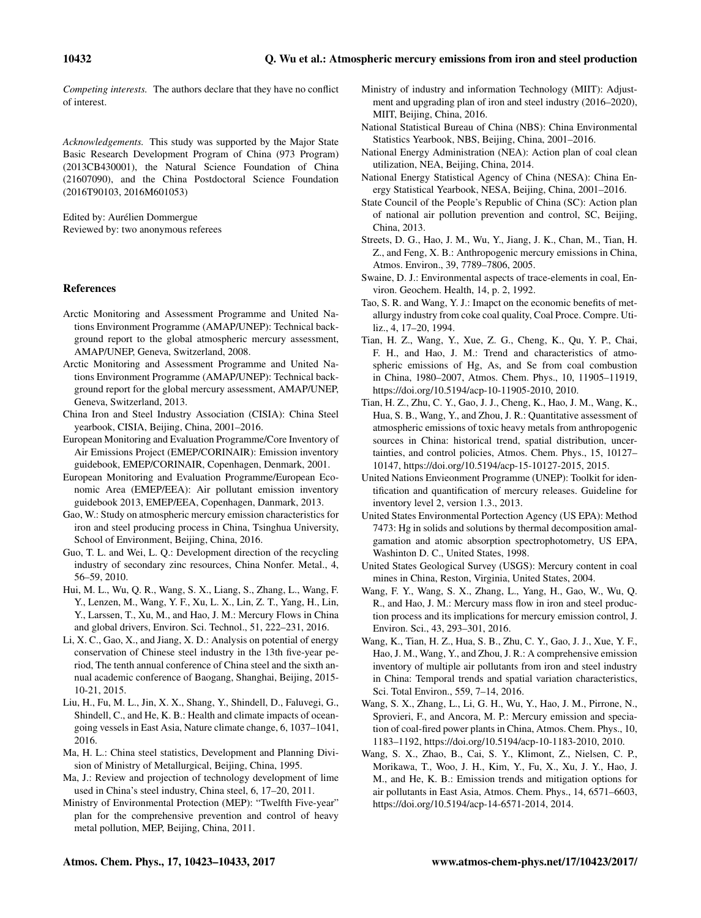*Competing interests.* The authors declare that they have no conflict of interest.

*Acknowledgements.* This study was supported by the Major State Basic Research Development Program of China (973 Program) (2013CB430001), the Natural Science Foundation of China (21607090), and the China Postdoctoral Science Foundation (2016T90103, 2016M601053)

Edited by: Aurélien Dommergue Reviewed by: two anonymous referees

# References

- Arctic Monitoring and Assessment Programme and United Nations Environment Programme (AMAP/UNEP): Technical background report to the global atmospheric mercury assessment, AMAP/UNEP, Geneva, Switzerland, 2008.
- Arctic Monitoring and Assessment Programme and United Nations Environment Programme (AMAP/UNEP): Technical background report for the global mercury assessment, AMAP/UNEP, Geneva, Switzerland, 2013.
- China Iron and Steel Industry Association (CISIA): China Steel yearbook, CISIA, Beijing, China, 2001–2016.
- European Monitoring and Evaluation Programme/Core Inventory of Air Emissions Project (EMEP/CORINAIR): Emission inventory guidebook, EMEP/CORINAIR, Copenhagen, Denmark, 2001.

European Monitoring and Evaluation Programme/European Economic Area (EMEP/EEA): Air pollutant emission inventory guidebook 2013, EMEP/EEA, Copenhagen, Danmark, 2013.

Gao, W.: Study on atmospheric mercury emission characteristics for iron and steel producing process in China, Tsinghua University, School of Environment, Beijing, China, 2016.

Guo, T. L. and Wei, L. Q.: Development direction of the recycling industry of secondary zinc resources, China Nonfer. Metal., 4, 56–59, 2010.

Hui, M. L., Wu, Q. R., Wang, S. X., Liang, S., Zhang, L., Wang, F. Y., Lenzen, M., Wang, Y. F., Xu, L. X., Lin, Z. T., Yang, H., Lin, Y., Larssen, T., Xu, M., and Hao, J. M.: Mercury Flows in China and global drivers, Environ. Sci. Technol., 51, 222–231, 2016.

Li, X. C., Gao, X., and Jiang, X. D.: Analysis on potential of energy conservation of Chinese steel industry in the 13th five-year period, The tenth annual conference of China steel and the sixth annual academic conference of Baogang, Shanghai, Beijing, 2015- 10-21, 2015.

Liu, H., Fu, M. L., Jin, X. X., Shang, Y., Shindell, D., Faluvegi, G., Shindell, C., and He, K. B.: Health and climate impacts of oceangoing vessels in East Asia, Nature climate change, 6, 1037–1041, 2016.

Ma, H. L.: China steel statistics, Development and Planning Division of Ministry of Metallurgical, Beijing, China, 1995.

Ma, J.: Review and projection of technology development of lime used in China's steel industry, China steel, 6, 17–20, 2011.

Ministry of Environmental Protection (MEP): "Twelfth Five-year" plan for the comprehensive prevention and control of heavy metal pollution, MEP, Beijing, China, 2011.

- Ministry of industry and information Technology (MIIT): Adjustment and upgrading plan of iron and steel industry (2016–2020), MIIT, Beijing, China, 2016.
- National Statistical Bureau of China (NBS): China Environmental Statistics Yearbook, NBS, Beijing, China, 2001–2016.
- National Energy Administration (NEA): Action plan of coal clean utilization, NEA, Beijing, China, 2014.
- National Energy Statistical Agency of China (NESA): China Energy Statistical Yearbook, NESA, Beijing, China, 2001–2016.
- State Council of the People's Republic of China (SC): Action plan of national air pollution prevention and control, SC, Beijing, China, 2013.
- Streets, D. G., Hao, J. M., Wu, Y., Jiang, J. K., Chan, M., Tian, H. Z., and Feng, X. B.: Anthropogenic mercury emissions in China, Atmos. Environ., 39, 7789–7806, 2005.
- Swaine, D. J.: Environmental aspects of trace-elements in coal, Environ. Geochem. Health, 14, p. 2, 1992.
- Tao, S. R. and Wang, Y. J.: Imapct on the economic benefits of metallurgy industry from coke coal quality, Coal Proce. Compre. Utiliz., 4, 17–20, 1994.
- Tian, H. Z., Wang, Y., Xue, Z. G., Cheng, K., Qu, Y. P., Chai, F. H., and Hao, J. M.: Trend and characteristics of atmospheric emissions of Hg, As, and Se from coal combustion in China, 1980–2007, Atmos. Chem. Phys., 10, 11905–11919, https://doi.org[/10.5194/acp-10-11905-2010,](https://doi.org/10.5194/acp-10-11905-2010) 2010.
- Tian, H. Z., Zhu, C. Y., Gao, J. J., Cheng, K., Hao, J. M., Wang, K., Hua, S. B., Wang, Y., and Zhou, J. R.: Quantitative assessment of atmospheric emissions of toxic heavy metals from anthropogenic sources in China: historical trend, spatial distribution, uncertainties, and control policies, Atmos. Chem. Phys., 15, 10127– 10147, https://doi.org[/10.5194/acp-15-10127-2015,](https://doi.org/10.5194/acp-15-10127-2015) 2015.
- United Nations Envieonment Programme (UNEP): Toolkit for identification and quantification of mercury releases. Guideline for inventory level 2, version 1.3., 2013.
- United States Environmental Portection Agency (US EPA): Method 7473: Hg in solids and solutions by thermal decomposition amalgamation and atomic absorption spectrophotometry, US EPA, Washinton D. C., United States, 1998.
- United States Geological Survey (USGS): Mercury content in coal mines in China, Reston, Virginia, United States, 2004.
- Wang, F. Y., Wang, S. X., Zhang, L., Yang, H., Gao, W., Wu, Q. R., and Hao, J. M.: Mercury mass flow in iron and steel production process and its implications for mercury emission control, J. Environ. Sci., 43, 293–301, 2016.
- Wang, K., Tian, H. Z., Hua, S. B., Zhu, C. Y., Gao, J. J., Xue, Y. F., Hao, J. M., Wang, Y., and Zhou, J. R.: A comprehensive emission inventory of multiple air pollutants from iron and steel industry in China: Temporal trends and spatial variation characteristics, Sci. Total Environ., 559, 7–14, 2016.
- Wang, S. X., Zhang, L., Li, G. H., Wu, Y., Hao, J. M., Pirrone, N., Sprovieri, F., and Ancora, M. P.: Mercury emission and speciation of coal-fired power plants in China, Atmos. Chem. Phys., 10, 1183–1192, https://doi.org[/10.5194/acp-10-1183-2010,](https://doi.org/10.5194/acp-10-1183-2010) 2010.
- Wang, S. X., Zhao, B., Cai, S. Y., Klimont, Z., Nielsen, C. P., Morikawa, T., Woo, J. H., Kim, Y., Fu, X., Xu, J. Y., Hao, J. M., and He, K. B.: Emission trends and mitigation options for air pollutants in East Asia, Atmos. Chem. Phys., 14, 6571–6603, https://doi.org[/10.5194/acp-14-6571-2014,](https://doi.org/10.5194/acp-14-6571-2014) 2014.